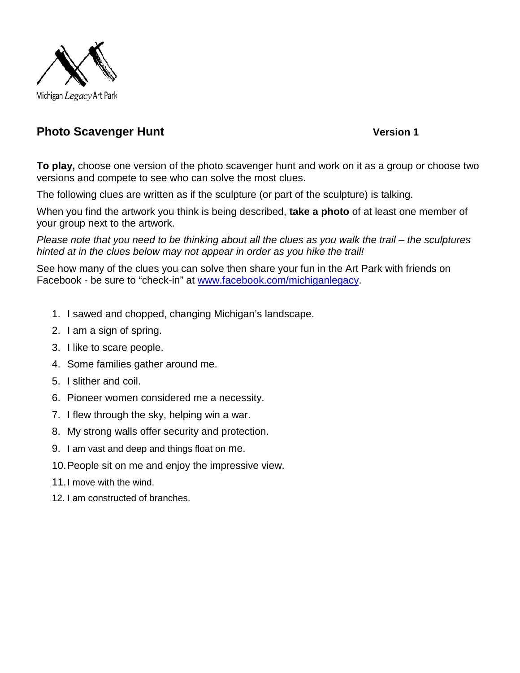

## **Photo Scavenger Hunt Version 1**

**To play,** choose one version of the photo scavenger hunt and work on it as a group or choose two versions and compete to see who can solve the most clues.

The following clues are written as if the sculpture (or part of the sculpture) is talking.

When you find the artwork you think is being described, **take a photo** of at least one member of your group next to the artwork.

*Please note that you need to be thinking about all the clues as you walk the trail – the sculptures hinted at in the clues below may not appear in order as you hike the trail!*

See how many of the clues you can solve then share your fun in the Art Park with friends on Facebook - be sure to "check-in" at [www.facebook.com/michiganlegacy.](http://www.facebook.com/michiganlegacy)

- 1. I sawed and chopped, changing Michigan's landscape.
- 2. I am a sign of spring.
- 3. I like to scare people.
- 4. Some families gather around me.
- 5. I slither and coil.
- 6. Pioneer women considered me a necessity.
- 7. I flew through the sky, helping win a war.
- 8. My strong walls offer security and protection.
- 9. I am vast and deep and things float on me.
- 10.People sit on me and enjoy the impressive view.
- 11.I move with the wind.
- 12. I am constructed of branches.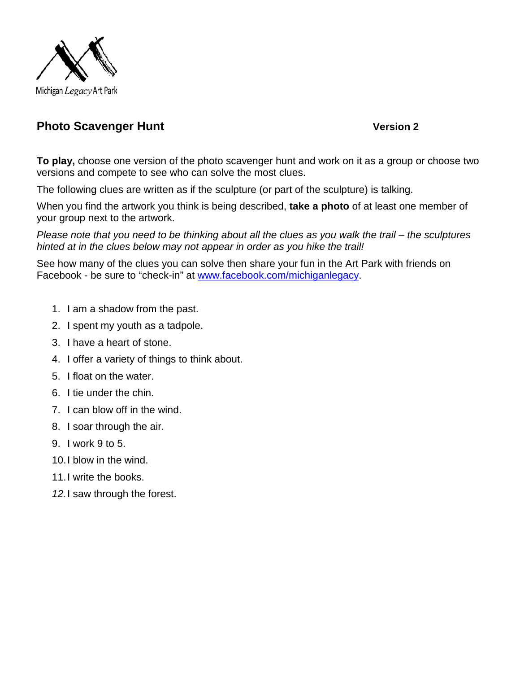

## **Photo Scavenger Hunt Version 2**

**To play,** choose one version of the photo scavenger hunt and work on it as a group or choose two versions and compete to see who can solve the most clues.

The following clues are written as if the sculpture (or part of the sculpture) is talking.

When you find the artwork you think is being described, **take a photo** of at least one member of your group next to the artwork.

*Please note that you need to be thinking about all the clues as you walk the trail – the sculptures hinted at in the clues below may not appear in order as you hike the trail!*

See how many of the clues you can solve then share your fun in the Art Park with friends on Facebook - be sure to "check-in" at [www.facebook.com/michiganlegacy.](http://www.facebook.com/michiganlegacy)

- 1. I am a shadow from the past.
- 2. I spent my youth as a tadpole.
- 3. I have a heart of stone.
- 4. I offer a variety of things to think about.
- 5. I float on the water.
- 6. I tie under the chin.
- 7. I can blow off in the wind.
- 8. I soar through the air.
- 9. I work 9 to 5.
- 10.I blow in the wind.
- 11.I write the books.
- *12.*I saw through the forest.